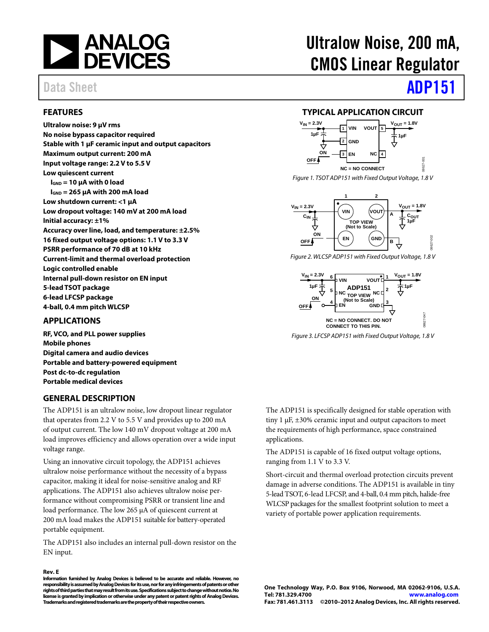

#### <span id="page-0-0"></span>**FEATURES**

**Ultralow noise: 9 µV rms No noise bypass capacitor required Stable with 1 µF ceramic input and output capacitors Maximum output current: 200 mA Input voltage range: 2.2 V to 5.5 V Low quiescent current IGND = 10 µA with 0 load IGND = 265 μA with 200 mA load Low shutdown current: <1 µA Low dropout voltage: 140 mV at 200 mA load Initial accuracy: ±1% Accuracy over line, load, and temperature: ±2.5% 16 fixed output voltage options: 1.1 V to 3.3 V PSRR performance of 70 dB at 10 kHz Current-limit and thermal overload protection Logic controlled enable Internal pull-down resistor on EN input 5-lead TSOT package 6-lead LFCSP package 4-ball, 0.4 mm pitch WLCSP**

#### <span id="page-0-1"></span>**APPLICATIONS**

**RF, VCO, and PLL power supplies Mobile phones Digital camera and audio devices Portable and battery-powered equipment Post dc-to-dc regulation Portable medical devices**

#### <span id="page-0-3"></span>**GENERAL DESCRIPTION**

The ADP151 is an ultralow noise, low dropout linear regulator that operates from 2.2 V to 5.5 V and provides up to 200 mA of output current. The low 140 mV dropout voltage at 200 mA load improves efficiency and allows operation over a wide input voltage range.

Using an innovative circuit topology, the ADP151 achieves ultralow noise performance without the necessity of a bypass capacitor, making it ideal for noise-sensitive analog and RF applications. The ADP151 also achieves ultralow noise performance without compromising PSRR or transient line and load performance. The low 265 μA of quiescent current at 200 mA load makes the ADP151 suitable for battery-operated portable equipment.

The ADP151 also includes an internal pull-down resistor on the EN input.

#### **Rev. E**

**Information furnished by Analog Devices is believed to be accurate and reliable. However, no responsibility is assumed by Analog Devices for its use, nor for any infringements of patents or other rights of third parties that may result from its use. Specifications subject to change without notice. No license is granted by implication or otherwise under any patent or patent rights of Analog Devices. Trademarks andregistered trademarks are the property of their respective owners.**

# Ultralow Noise, 200 mA, CMOS Linear Regulator

## Data Sheet **[ADP151](www.analog.com/ADP151)**

#### **TYPICAL APPLICATION CIRCUIT**

<span id="page-0-2"></span>

*Figure 1. TSOT ADP151 with Fixed Output Voltage, 1.8 V*



*Figure 2. WLCSP ADP151 with FixedOutput Voltage, 1.8 V*



*Figure 3. LFCSP ADP151 with Fixed Output Voltage, 1.8 V*

The ADP151 is specifically designed for stable operation with tiny 1 µF, ±30% ceramic input and output capacitors to meet the requirements of high performance, space constrained applications.

The ADP151 is capable of 16 fixed output voltage options, ranging from 1.1 V to 3.3 V.

Short-circuit and thermal overload protection circuits prevent damage in adverse conditions. The ADP151 is available in tiny 5-lead TSOT, 6-lead LFCSP, and 4-ball, 0.4 mm pitch, halide-free WLCSP packages for the smallest footprint solution to meet a variety of portable power application requirements.

**One Technology Way, P.O. Box 9106, Norwood, MA 02062-9106, U.S.A. Tel: 781.329.4700 [www.analog.com](http://www.analog.com/) Fax: 781.461.3113 ©2010–2012 Analog Devices, Inc. All rights reserved.**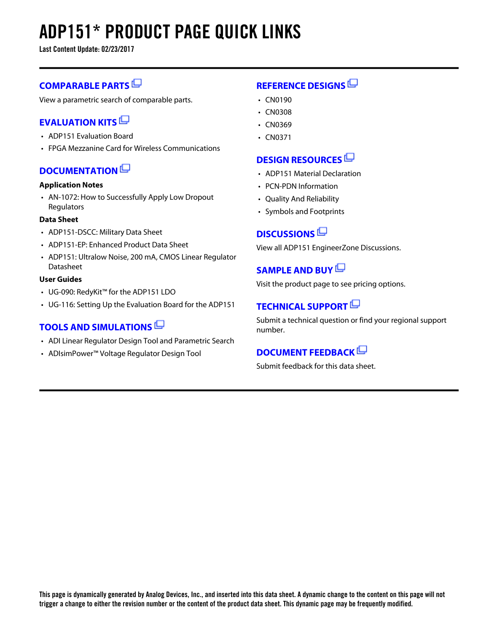# **ADP151\* PRODUCT PAGE QUICK LINKS**

**Last Content Update: 02/23/2017**

### **[COMPARABLE PARTS](http://www.analog.com/parametricsearch/en/10996?doc=ADP151.pdf&p0=1&lsrc=pst)**

View a parametric search of comparable parts.

### **[EVALUATION KITS](http://www.analog.com/adp151/evalkits?doc=ADP151.pdf&p0=1&lsrc=ek)**

- ADP151 Evaluation Board
- FPGA Mezzanine Card for Wireless Communications

### **[DOCUMENTATION](http://www.analog.com/adp151/documentation?doc=ADP151.pdf&p0=1&lsrc=doc)**

#### **Application Notes**

• AN-1072: How to Successfully Apply Low Dropout **Regulators** 

#### **Data Sheet**

- ADP151-DSCC: Military Data Sheet
- ADP151-EP: Enhanced Product Data Sheet
- ADP151: Ultralow Noise, 200 mA, CMOS Linear Regulator Datasheet

#### **User Guides**

- UG-090: RedyKit™ for the ADP151 LDO
- UG-116: Setting Up the Evaluation Board for the ADP151

### **[TOOLS AND SIMULATIONS](http://www.analog.com/adp151/tools?doc=ADP151.pdf&p0=1&lsrc=tools)**

- ADI Linear Regulator Design Tool and Parametric Search
- ADIsimPower™ Voltage Regulator Design Tool

### **[REFERENCE DESIGNS](http://www.analog.com/adp151/referencedesigns?doc=ADP151.pdf&p0=1&lsrc=rd)**

- CN0190
- CN0308
- CN0369
- CN0371

### **[DESIGN RESOURCES](http://www.analog.com/adp151/designsources?doc=ADP151.pdf&p0=1&lsrc=dr)**

- ADP151 Material Declaration
- PCN-PDN Information
- Quality And Reliability
- Symbols and Footprints

### **[DISCUSSIONS](http://www.analog.com/adp151/discussions?doc=ADP151.pdf&p0=1&lsrc=disc)**

View all ADP151 EngineerZone Discussions.

### **[SAMPLE AND BUY](http://www.analog.com/adp151/sampleandbuy?doc=ADP151.pdf&p0=1&lsrc=sb)**

Visit the product page to see pricing options.

### **[TECHNICAL SUPPORT](http://www.analog.com/support/technical-support.html?doc=ADP151.pdf&p0=1&lsrc=techs)**

Submit a technical question or find your regional support number.

### **[DOCUMENT FEEDBACK](https://form.analog.com/Form_Pages/feedback/documentfeedback.aspx?doc=ADP151.pdf&product=ADP151&p0=1&lsrc=dfs)**

Submit feedback for this data sheet.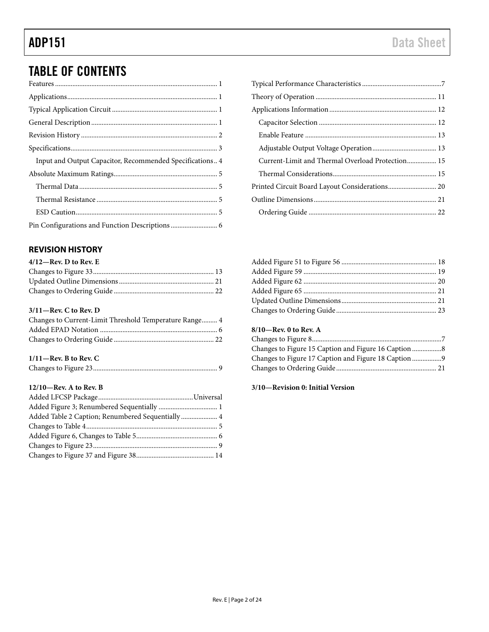## TABLE OF CONTENTS

| Input and Output Capacitor, Recommended Specifications 4 |  |
|----------------------------------------------------------|--|
|                                                          |  |
|                                                          |  |
|                                                          |  |
|                                                          |  |
|                                                          |  |

### <span id="page-2-0"></span>**REVISION HISTORY**

| $4/12$ —Rev. D to Rev. E |  |
|--------------------------|--|
|                          |  |
|                          |  |
|                          |  |

#### **3/11—Rev. C to Rev. D**

| Changes to Current-Limit Threshold Temperature Range 4 |  |
|--------------------------------------------------------|--|
|                                                        |  |
|                                                        |  |

#### **1/11—Rev. B to Rev. C**

|--|--|

#### **12/10—Rev. A to Rev. B**

| Added Table 2 Caption; Renumbered Sequentially  4 |  |
|---------------------------------------------------|--|
|                                                   |  |
|                                                   |  |
|                                                   |  |
|                                                   |  |

| Current-Limit and Thermal Overload Protection 15 |  |
|--------------------------------------------------|--|
|                                                  |  |
| Printed Circuit Board Layout Considerations 20   |  |
|                                                  |  |
|                                                  |  |

#### **8/10—Rev. 0 to Rev. A**

#### **3/10—Revision 0: Initial Version**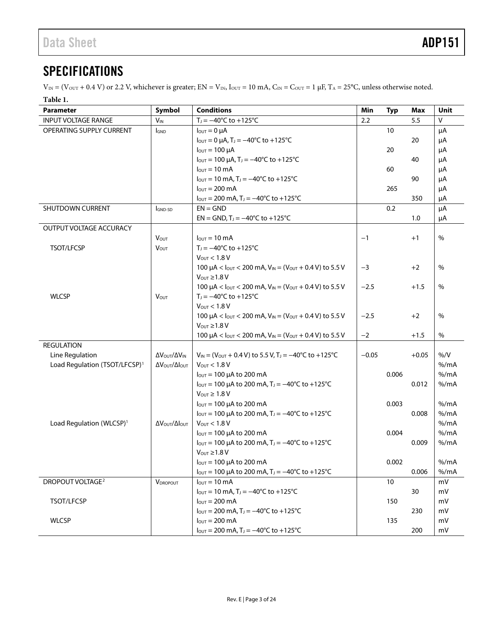## <span id="page-3-0"></span>**SPECIFICATIONS**

 $V_{IN} = (V_{OUT} + 0.4 V)$  or 2.2 V, whichever is greater;  $EN = V_{IN}$ ,  $I_{OUT} = 10$  mA,  $C_{IN} = C_{OUT} = 1 \mu F$ ,  $T_A = 25^{\circ}C$ , unless otherwise noted.

#### **Table 1.**

| <b>Parameter</b>                          | Symbol                               | <b>Conditions</b>                                                                                                  | Min     | <b>Typ</b> | Max     | Unit           |
|-------------------------------------------|--------------------------------------|--------------------------------------------------------------------------------------------------------------------|---------|------------|---------|----------------|
| <b>INPUT VOLTAGE RANGE</b>                | $V_{IN}$                             | $T_J = -40^{\circ}C$ to $+125^{\circ}C$                                                                            | 2.2     |            | 5.5     | $\mathsf{V}$   |
| OPERATING SUPPLY CURRENT                  | <b>I</b> GND                         | $I_{\text{OUT}} = 0 \mu A$                                                                                         |         | 10         |         | μA             |
|                                           |                                      | $I_{\text{OUT}} = 0 \mu A$ , T <sub>J</sub> = -40°C to +125°C                                                      |         |            | 20      | μA             |
|                                           |                                      | $I_{\text{OUT}} = 100 \mu A$                                                                                       |         | 20         |         | μA             |
|                                           |                                      | $I_{\text{OUT}} = 100 \mu A$ , T <sub>J</sub> = -40°C to +125°C                                                    |         |            | 40      | μA             |
|                                           |                                      | $I_{OUT} = 10 \text{ mA}$                                                                                          |         | 60         |         | μA             |
|                                           |                                      | $I_{\text{OUT}} = 10 \text{ mA}$ , T <sub>J</sub> = $-40^{\circ}$ C to +125 <sup>°</sup> C                         |         |            | 90      | μA             |
|                                           |                                      | $I_{\text{OUT}} = 200 \text{ mA}$                                                                                  |         | 265        |         | μA             |
|                                           |                                      | $I_{\text{OUT}} = 200 \text{ mA}$ , T <sub>J</sub> = -40°C to +125°C                                               |         |            | 350     | μA             |
| <b>SHUTDOWN CURRENT</b>                   | <b>I</b> GND-SD                      | $EN = GND$                                                                                                         |         | 0.2        |         | μA             |
|                                           |                                      | $EN = GND$ , $T_1 = -40^{\circ}C$ to $+125^{\circ}C$                                                               |         |            | 1.0     | μA             |
| OUTPUT VOLTAGE ACCURACY                   |                                      |                                                                                                                    |         |            |         |                |
|                                           | <b>Vout</b>                          | $I_{\text{OUT}} = 10 \text{ mA}$                                                                                   | $-1$    |            | $+1$    | $\%$           |
| <b>TSOT/LFCSP</b>                         | $V_{OUT}$                            | $T_J = -40^{\circ}C$ to $+125^{\circ}C$                                                                            |         |            |         |                |
|                                           |                                      | $V_{OUT}$ < 1.8 V                                                                                                  |         |            |         |                |
|                                           |                                      | 100 $\mu$ A < $I_{\text{OUT}}$ < 200 mA, $V_{\text{IN}}$ = ( $V_{\text{OUT}}$ + 0.4 V) to 5.5 V                    | $-3$    |            | $+2$    | $\%$           |
|                                           |                                      | $V_{\text{OUT}} \geq 1.8 V$                                                                                        |         |            |         |                |
|                                           |                                      | 100 $\mu$ A < $I_{\text{OUT}}$ < 200 mA, $V_{\text{IN}}$ = ( $V_{\text{OUT}}$ + 0.4 V) to 5.5 V                    | $-2.5$  |            | $+1.5$  | $\%$           |
| <b>WLCSP</b>                              | VOUT                                 | $T_1 = -40^{\circ}C$ to $+125^{\circ}C$                                                                            |         |            |         |                |
|                                           |                                      | $V_{\text{OUT}} < 1.8 V$                                                                                           |         |            |         |                |
|                                           |                                      | 100 $\mu$ A < $I_{\text{OUT}}$ < 200 mA, $V_{\text{IN}}$ = ( $V_{\text{OUT}}$ + 0.4 V) to 5.5 V                    | $-2.5$  |            | $+2$    | $\%$           |
|                                           |                                      | $V_{\text{OUT}} \geq 1.8 V$                                                                                        |         |            |         |                |
|                                           |                                      | 100 $\mu$ A < $I_{\text{OUT}}$ < 200 mA, $V_{\text{IN}}$ = ( $V_{\text{OUT}}$ + 0.4 V) to 5.5 V                    | $-2$    |            | $+1.5$  | $\%$           |
| <b>REGULATION</b>                         |                                      |                                                                                                                    |         |            |         |                |
| Line Regulation                           | Δ VOUT/ Δ VIN                        | $V_{IN} = (V_{OUT} + 0.4 V)$ to 5.5 V, T <sub>J</sub> = -40°C to +125°C                                            | $-0.05$ |            | $+0.05$ | $\%$ /V        |
| Load Regulation (TSOT/LFCSP) <sup>1</sup> | Δ V ουτ/ΔΙουτ                        | $V_{\text{OUT}} < 1.8 V$                                                                                           |         |            |         | % /mA<br>% /mA |
|                                           |                                      | $I_{\text{OUT}} = 100 \mu A$ to 200 mA<br>$I_{\text{OUT}} = 100 \mu A$ to 200 mA, T <sub>J</sub> = -40°C to +125°C |         | 0.006      | 0.012   | $%$ /mA        |
|                                           |                                      | $V_{\text{OUT}} \geq 1.8 V$                                                                                        |         |            |         |                |
|                                           |                                      | $I_{\text{OUT}}$ = 100 µA to 200 mA                                                                                |         | 0.003      |         | $%$ /mA        |
|                                           |                                      | $I_{\text{OUT}} = 100 \mu A$ to 200 mA, T <sub>J</sub> = -40°C to +125°C                                           |         |            | 0.008   | % /mA          |
| Load Regulation (WLCSP) <sup>1</sup>      | ΔV <sub>OUT</sub> /ΔΙ <sub>ΟUT</sub> | $V_{OUT}$ < 1.8 V                                                                                                  |         |            |         | % /mA          |
|                                           |                                      | l <sub>ουτ</sub> = 100 μA to 200 mA                                                                                |         | 0.004      |         | % /mA          |
|                                           |                                      | $I_{\text{OUT}} = 100 \mu A$ to 200 mA, T <sub>J</sub> = -40°C to +125°C                                           |         |            | 0.009   | $%$ /mA        |
|                                           |                                      | $V_{\text{OUT}} \geq 1.8 V$                                                                                        |         |            |         |                |
|                                           |                                      | $I_{\text{OUT}}$ = 100 µA to 200 mA                                                                                |         | 0.002      |         | % /mA          |
|                                           |                                      | $I_{\text{OUT}} = 100 \mu A$ to 200 mA, T <sub>J</sub> = -40°C to +125°C                                           |         |            | 0.006   | % /mA          |
| DROPOUT VOLTAGE <sup>2</sup>              | VDROPOUT                             | $I_{\text{OUT}} = 10 \text{ mA}$                                                                                   |         | 10         |         | mV             |
|                                           |                                      | $I_{\text{OUT}} = 10 \text{ mA}$ , T <sub>J</sub> = $-40^{\circ}$ C to +125 <sup>°</sup> C                         |         |            | 30      | mV             |
| TSOT/LFCSP                                |                                      | $IOUT = 200 mA$                                                                                                    |         | 150        |         | mV             |
|                                           |                                      | $I_{\text{OUT}} = 200 \text{ mA}$ , T <sub>J</sub> = $-40^{\circ}$ C to +125 <sup>°</sup> C                        |         |            | 230     | mV             |
| <b>WLCSP</b>                              |                                      | $I_{OUT} = 200 \text{ mA}$                                                                                         |         | 135        |         | mV             |
|                                           |                                      | $I_{\text{OUT}} = 200 \text{ mA}$ , T <sub>J</sub> = -40°C to +125°C                                               |         |            | 200     | mV             |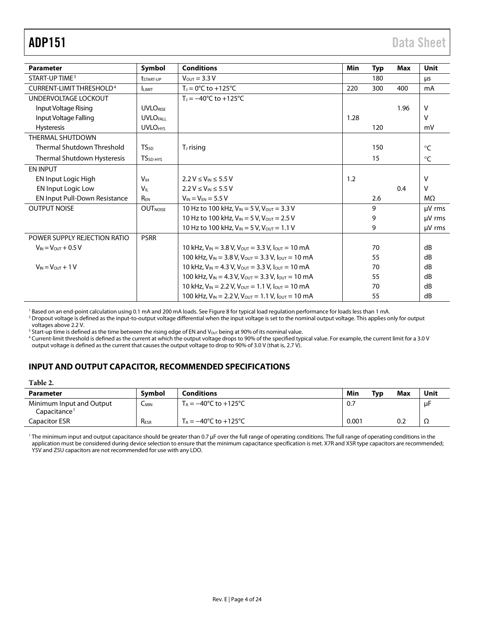| <b>Parameter</b>                     | Symbol                    | <b>Conditions</b>                                                 | Min  | <b>Typ</b> | Max  | <b>Unit</b>  |
|--------------------------------------|---------------------------|-------------------------------------------------------------------|------|------------|------|--------------|
| START-UP TIME <sup>3</sup>           | <i><b>LSTART-UP</b></i>   | $V_{OUT} = 3.3 V$                                                 |      | 180        |      | μs           |
| CURRENT-LIMIT THRESHOLD <sup>4</sup> | <b>LIMIT</b>              | $T_1 = 0$ °C to +125°C                                            | 220  | 300        | 400  | mA           |
| UNDERVOLTAGE LOCKOUT                 |                           | $T_1 = -40^{\circ}C$ to $+125^{\circ}C$                           |      |            |      |              |
| Input Voltage Rising                 | <b>UVLORISE</b>           |                                                                   |      |            | 1.96 | $\vee$       |
| Input Voltage Falling                | <b>UVLOFALL</b>           |                                                                   | 1.28 |            |      | $\vee$       |
| <b>Hysteresis</b>                    | <b>UVLO<sub>HYS</sub></b> |                                                                   |      | 120        |      | mV           |
| <b>THERMAL SHUTDOWN</b>              |                           |                                                                   |      |            |      |              |
| Thermal Shutdown Threshold           | <b>TS</b> <sub>sp</sub>   | T <sub>J</sub> rising                                             |      | 150        |      | $\circ$ C    |
| Thermal Shutdown Hysteresis          | TS <sub>SD-HYS</sub>      |                                                                   |      | 15         |      | $^{\circ}$ C |
| <b>EN INPUT</b>                      |                           |                                                                   |      |            |      |              |
| <b>EN Input Logic High</b>           | <b>V<sub>IH</sub></b>     | $2.2 V \le V_{IN} \le 5.5 V$                                      | 1.2  |            |      | v            |
| EN Input Logic Low                   | $V_{\parallel}$           | $2.2 V \le V_{IN} \le 5.5 V$                                      |      |            | 0.4  | v            |
| <b>EN Input Pull-Down Resistance</b> | R <sub>FN</sub>           | $V_{IN} = V_{FN} = 5.5 V$                                         |      | 2.6        |      | MΩ           |
| <b>OUTPUT NOISE</b>                  | <b>OUTNOISE</b>           | 10 Hz to 100 kHz. $V_{IN} = 5 V$ . $V_{OUT} = 3.3 V$              |      | 9          |      | µV rms       |
|                                      |                           | 10 Hz to 100 kHz, $V_{IN} = 5 V$ , $V_{OUT} = 2.5 V$              |      | 9          |      | $\mu$ V rms  |
|                                      |                           | 10 Hz to 100 kHz, $V_{IN} = 5 V$ , $V_{OUT} = 1.1 V$              |      | 9          |      | µV rms       |
| POWER SUPPLY REJECTION RATIO         | <b>PSRR</b>               |                                                                   |      |            |      |              |
| $V_{IN} = V_{OUT} + 0.5 V$           |                           | 10 kHz, $V_{IN} = 3.8$ V, $V_{OUT} = 3.3$ V, $I_{OUT} = 10$ mA    |      | 70         |      | dB           |
|                                      |                           | 100 kHz, $V_{IN}$ = 3.8 V, $V_{OUT}$ = 3.3 V, $I_{OUT}$ = 10 mA   |      | 55         |      | dB           |
| $V_{IN} = V_{OUT} + 1 V$             |                           | 10 kHz, $V_{IN} = 4.3$ V, $V_{OUT} = 3.3$ V, $I_{OUT} = 10$ mA    |      | 70         |      | dB           |
|                                      |                           | 100 kHz, $V_{IN} = 4.3 V$ , $V_{OUT} = 3.3 V$ , $I_{OUT} = 10 mA$ |      | 55         |      | dB           |
|                                      |                           | 10 kHz, $V_{IN}$ = 2.2 V, $V_{OUT}$ = 1.1 V, $I_{OUT}$ = 10 mA    |      | 70         |      | dB           |
|                                      |                           | 100 kHz, $V_{IN}$ = 2.2 V, $V_{OUT}$ = 1.1 V, $I_{OUT}$ = 10 mA   |      | 55         |      | dB           |

<span id="page-4-1"></span><sup>1</sup> Based on an end-point calculation using 0.1 mA and 200 mA loads. Se[e Figure 8](#page-7-1) for typical load regulation performance for loads less than 1 mA.

<span id="page-4-2"></span><sup>2</sup> Dropout voltage is defined as the input-to-output voltage differential when the input voltage is set to the nominal output voltage. This applies only for output voltages above 2.2 V.

<sup>3</sup> Start-up time is defined as the time between the rising edge of EN and V<sub>OUT</sub> being at 90% of its nominal value.

<sup>4</sup> Current-limit threshold is defined as the current at which the output voltage drops to 90% of the specified typical value. For example, the current limit for a 3.0 V output voltage is defined as the current that causes the output voltage to drop to 90% of 3.0 V (that is, 2.7 V).

#### <span id="page-4-0"></span>**INPUT AND OUTPUT CAPACITOR, RECOMMENDED SPECIFICATIONS**

| Parameter                                            | <b>Symbol</b>    | <b>Conditions</b>                         | Min   | Typ | Max | Unit |
|------------------------------------------------------|------------------|-------------------------------------------|-------|-----|-----|------|
| Minimum Input and Output<br>Capacitance <sup>1</sup> | $C_{MIN}$        | $T_A = -40^{\circ}$ C to $+125^{\circ}$ C | 0.7   |     |     | uŀ   |
| Capacitor ESR                                        | R <sub>ESR</sub> | $T_A = -40^{\circ}$ C to $+125^{\circ}$ C | 0.001 |     | 0.2 | 77   |

<sup>1</sup> The minimum input and output capacitance should be greater than 0.7 μF over the full range of operating conditions. The full range of operating conditions in the application must be considered during device selection to ensure that the minimum capacitance specification is met. X7R and X5R type capacitors are recommended; Y5V and Z5U capacitors are not recommended for use with any LDO.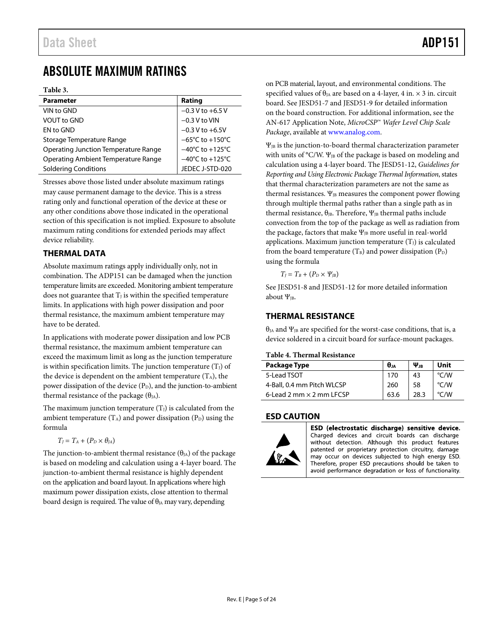## <span id="page-5-0"></span>ABSOLUTE MAXIMUM RATINGS

**Table 3.** 

| <b>Parameter</b>                     | Rating                              |
|--------------------------------------|-------------------------------------|
| VIN to GND                           | $-0.3$ V to $+6.5$ V                |
| <b>VOUT to GND</b>                   | $-0.3$ V to VIN                     |
| EN to GND                            | $-0.3$ V to $+6.5$ V                |
| Storage Temperature Range            | $-65^{\circ}$ C to $+150^{\circ}$ C |
| Operating Junction Temperature Range | $-40^{\circ}$ C to $+125^{\circ}$ C |
| Operating Ambient Temperature Range  | $-40^{\circ}$ C to $+125^{\circ}$ C |
| <b>Soldering Conditions</b>          | JEDEC J-STD-020                     |

Stresses above those listed under absolute maximum ratings may cause permanent damage to the device. This is a stress rating only and functional operation of the device at these or any other conditions above those indicated in the operational section of this specification is not implied. Exposure to absolute maximum rating conditions for extended periods may affect device reliability.

#### <span id="page-5-1"></span>**THERMAL DATA**

Absolute maximum ratings apply individually only, not in combination. The ADP151 can be damaged when the junction temperature limits are exceeded. Monitoring ambient temperature does not guarantee that  $T_J$  is within the specified temperature limits. In applications with high power dissipation and poor thermal resistance, the maximum ambient temperature may have to be derated.

In applications with moderate power dissipation and low PCB thermal resistance, the maximum ambient temperature can exceed the maximum limit as long as the junction temperature is within specification limits. The junction temperature  $(T<sub>1</sub>)$  of the device is dependent on the ambient temperature  $(T_A)$ , the power dissipation of the device  $(P_D)$ , and the junction-to-ambient thermal resistance of the package  $(\theta_{JA})$ .

The maximum junction temperature  $(T_J)$  is calculated from the ambient temperature  $(T_A)$  and power dissipation  $(P_D)$  using the formula

$$
T_J = T_A + (P_D \times \theta_{JA})
$$

The junction-to-ambient thermal resistance  $(\theta_{JA})$  of the package is based on modeling and calculation using a 4-layer board. The junction-to-ambient thermal resistance is highly dependent on the application and board layout. In applications where high maximum power dissipation exists, close attention to thermal board design is required. The value of  $\theta_{\text{JA}}$  may vary, depending

on PCB material, layout, and environmental conditions. The specified values of  $\theta_{JA}$  are based on a 4-layer, 4 in.  $\times$  3 in. circuit board. See JESD51-7 and JESD51-9 for detailed information on the board construction. For additional information, see the AN-617 Application Note, *MicroCSP*™ *Wafer Level Chip Scale Package*, available at [www.analog.com.](http://www.analog.com/)

 $\Psi_{JB}$  is the junction-to-board thermal characterization parameter with units of °C/W.  $\Psi_{IB}$  of the package is based on modeling and calculation using a 4-layer board. The JESD51-12, *Guidelines for Reporting and Using Electronic Package Thermal Information*, states that thermal characterization parameters are not the same as thermal resistances.  $\Psi_{JB}$  measures the component power flowing through multiple thermal paths rather than a single path as in thermal resistance,  $\theta_{\text{IB}}$ . Therefore,  $\Psi_{\text{IB}}$  thermal paths include convection from the top of the package as well as radiation from the package, factors that make  $\Psi_{JB}$  more useful in real-world applications. Maximum junction temperature  $(T<sub>J</sub>)$  is calculated from the board temperature  $(T_B)$  and power dissipation  $(P_D)$ using the formula

 $T_I = T_B + (P_D \times \Psi_B)$ 

See JESD51-8 and JESD51-12 for more detailed information about  $\Psi_{IB}$ .

#### <span id="page-5-2"></span>**THERMAL RESISTANCE**

 $\theta_{JA}$  and  $\Psi_{JB}$  are specified for the worst-case conditions, that is, a device soldered in a circuit board for surface-mount packages.

#### **Table 4. Thermal Resistance**

| Package Type                    | θи   | $\Psi_{\rm IR}$ | Unit               |
|---------------------------------|------|-----------------|--------------------|
| 5-Lead TSOT                     | 170  | 43              | $\degree$ C/W      |
| 4-Ball, 0.4 mm Pitch WLCSP      | 260  | 58              | $\degree$ C/W      |
| 6-Lead 2 mm $\times$ 2 mm LFCSP | 63.6 |                 | $\rm ^{\circ}$ C/W |

#### <span id="page-5-3"></span>**ESD CAUTION**



ESD (electrostatic discharge) sensitive device. Charged devices and circuit boards can discharge without detection. Although this product features patented or proprietary protection circuitry, damage may occur on devices subjected to high energy ESD. Therefore, proper ESD precautions should be taken to avoid performance degradation or loss of functionality.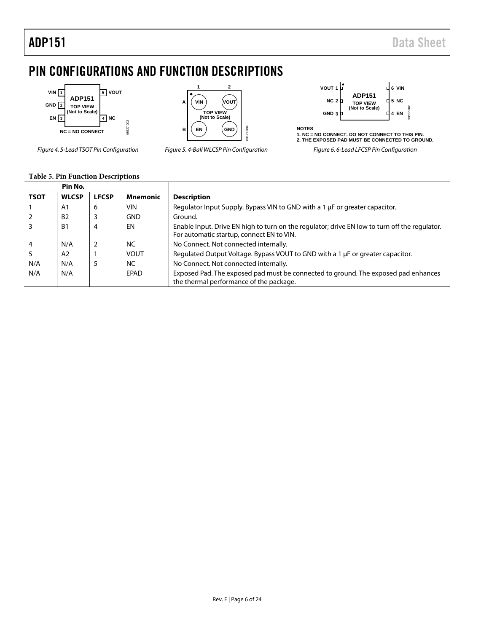## <span id="page-6-0"></span>PIN CONFIGURATIONS AND FUNCTION DESCRIPTIONS



*Figure 4. 5-Lead TSOT Pin Configuration Figure 5. 4-Ball WLCSP Pin Configuration Figure 6. 6-Lead LFCSP Pin Configuration*



| VOUT 1 D |                                  |  | 6 VIN       |       |
|----------|----------------------------------|--|-------------|-------|
| NC 2 D   | <b>ADP151</b><br><b>TOP VIEW</b> |  | <b>5 NC</b> |       |
| GND 3 D  | (Not to Scale)                   |  | 4 EN        | 18627 |

**NOTES 1. NC = NO CONNECT. DO NOT CONNECT TO THIS PIN. 2. THE EXPOSED PAD MUST BE CONNECTED TO GROUND.**

|  |  | <b>Table 5. Pin Function Descriptions</b> |
|--|--|-------------------------------------------|
|--|--|-------------------------------------------|

|                | Pin No.        |              |                 |                                                                                                                                            |
|----------------|----------------|--------------|-----------------|--------------------------------------------------------------------------------------------------------------------------------------------|
| <b>TSOT</b>    | <b>WLCSP</b>   | <b>LFCSP</b> | <b>Mnemonic</b> | <b>Description</b>                                                                                                                         |
|                | A1             | 6            | VIN             | Regulator Input Supply. Bypass VIN to GND with a 1 µF or greater capacitor.                                                                |
|                | B <sub>2</sub> |              | <b>GND</b>      | Ground.                                                                                                                                    |
|                | B1             | 4            | EN              | Enable Input. Drive EN high to turn on the regulator; drive EN low to turn off the regulator.<br>For automatic startup, connect EN to VIN. |
| $\overline{4}$ | N/A            | 2            | <b>NC</b>       | No Connect. Not connected internally.                                                                                                      |
|                | A <sub>2</sub> |              | <b>VOUT</b>     | Regulated Output Voltage. Bypass VOUT to GND with a 1 µF or greater capacitor.                                                             |
| N/A            | N/A            | 5            | <b>NC</b>       | No Connect. Not connected internally.                                                                                                      |
| N/A            | N/A            |              | EPAD            | Exposed Pad. The exposed pad must be connected to ground. The exposed pad enhances<br>the thermal performance of the package.              |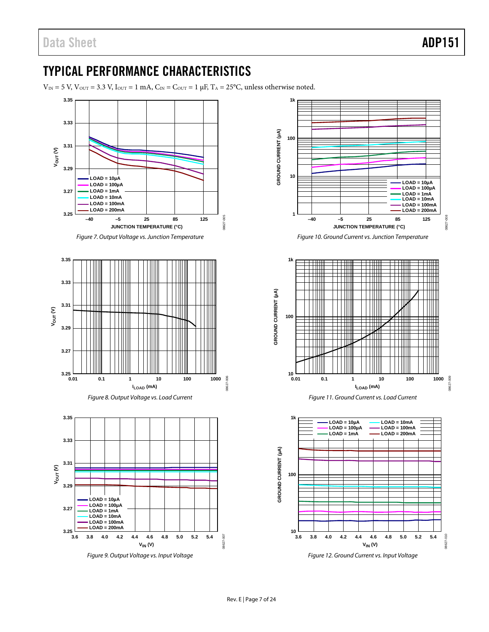## <span id="page-7-0"></span>TYPICAL PERFORMANCE CHARACTERISTICS

 $V_{\text{IN}} = 5$  V,  $V_{\text{OUT}} = 3.3$  V,  $I_{\text{OUT}} = 1$  mA,  $C_{\text{IN}} = C_{\text{OUT}} = 1$  µF,  $T_A = 25$ °C, unless otherwise noted.



<span id="page-7-1"></span>*Figure 9. Output Voltage vs. Input Voltage*



*Figure 10. Ground Current vs. Junction Temperature*





*Figure 12. Ground Current vs. Input Voltage*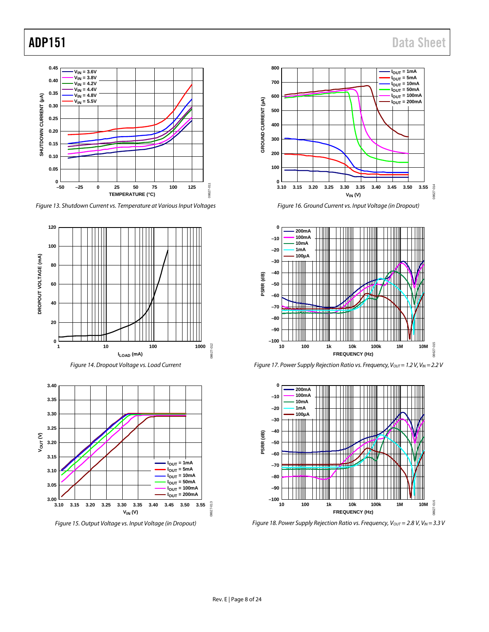

*Figure 13. Shutdown Current vs. Temperature at Various Input Voltages*



*Figure 15. Output Voltage vs. Input Voltage (in Dropout)*



*Figure 16. Ground Current vs. Input Voltage (in Dropout)*







*Figure 18. Power Supply Rejection Ratio vs. Frequency, V<sub>OUT</sub> = 2.8 V, V<sub>IN</sub> = 3.3 V*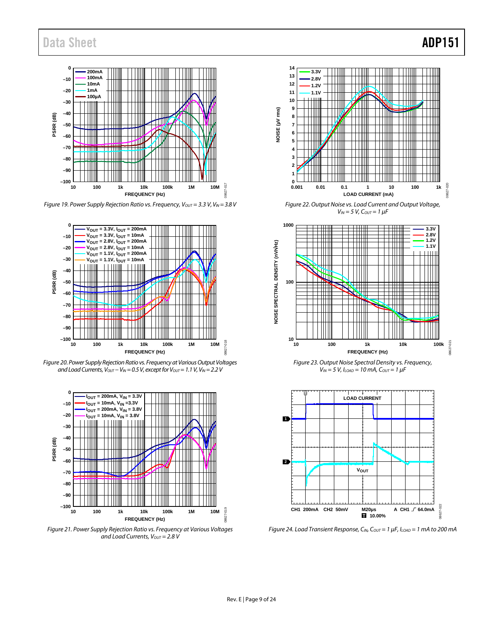

*Figure 19. Power Supply Rejection Ratio vs. Frequency, V<sub>OUT</sub> = 3.3 V, V<sub>IN</sub> = 3.8 V* 



*Figure 20. Power Supply Rejection Ratio vs. Frequency at Various Output Voltages and Load Currents, Vout − V<sub>IN</sub> = 0.5 V, except for Vout = 1.1 V, V<sub>IN</sub> = 2.2 V* 



*Figure 21. Power Supply Rejection Ratio vs. Frequency at Various Voltages and Load Currents, Vout* = 2.8 V



*Figure 22. Output Noise vs. Load Current and Output Voltage, VIN = 5 V, COUT = 1 μF*



*Figure 23. Output Noise Spectral Density vs. Frequency, VIN = 5 V, ILOAD = 10 mA, COUT = 1 μF*



*Figure 24. Load Transient Response, CIN, COUT = 1 μF, ILOAD = 1 mA to 200 mA*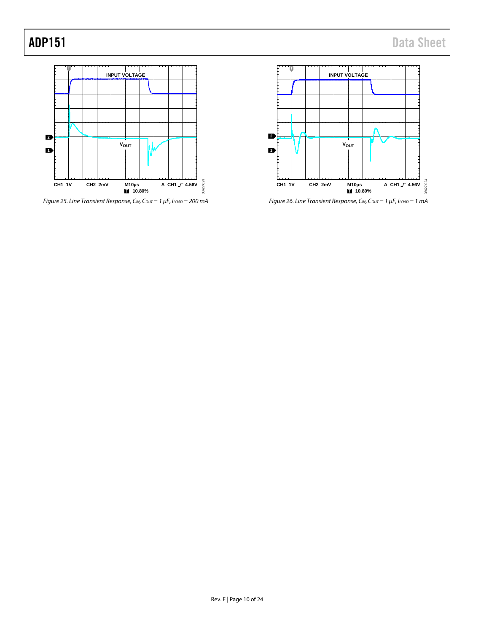

*Figure 25. Line Transient Response, CIN, COUT = 1 μF, ILOAD = 200 mA*



*Figure 26. Line Transient Response, CIN, COUT = 1 μF, ILOAD = 1 mA*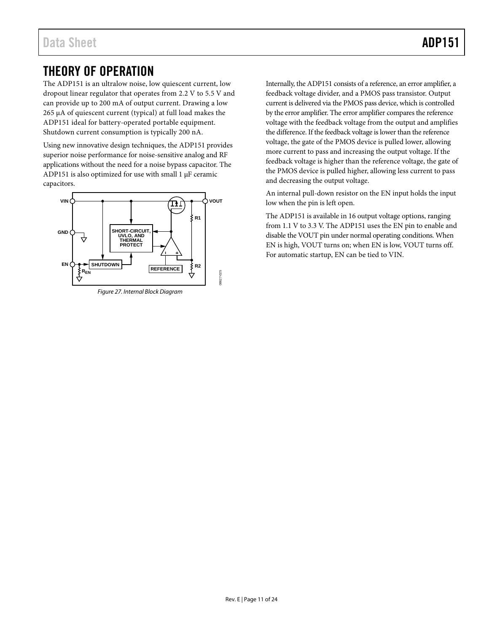## <span id="page-11-0"></span>THEORY OF OPERATION

The ADP151 is an ultralow noise, low quiescent current, low dropout linear regulator that operates from 2.2 V to 5.5 V and can provide up to 200 mA of output current. Drawing a low 265 μA of quiescent current (typical) at full load makes the ADP151 ideal for battery-operated portable equipment. Shutdown current consumption is typically 200 nA.

Using new innovative design techniques, the ADP151 provides superior noise performance for noise-sensitive analog and RF applications without the need for a noise bypass capacitor. The ADP151 is also optimized for use with small  $1 \mu$ F ceramic capacitors.



*Figure 27. Internal Block Diagram*

Internally, the ADP151 consists of a reference, an error amplifier, a feedback voltage divider, and a PMOS pass transistor. Output current is delivered via the PMOS pass device, which is controlled by the error amplifier. The error amplifier compares the reference voltage with the feedback voltage from the output and amplifies the difference. If the feedback voltage is lower than the reference voltage, the gate of the PMOS device is pulled lower, allowing more current to pass and increasing the output voltage. If the feedback voltage is higher than the reference voltage, the gate of the PMOS device is pulled higher, allowing less current to pass and decreasing the output voltage.

An internal pull-down resistor on the EN input holds the input low when the pin is left open.

The ADP151 is available in 16 output voltage options, ranging from 1.1 V to 3.3 V. The ADP151 uses the EN pin to enable and disable the VOUT pin under normal operating conditions. When EN is high, VOUT turns on; when EN is low, VOUT turns off. For automatic startup, EN can be tied to VIN.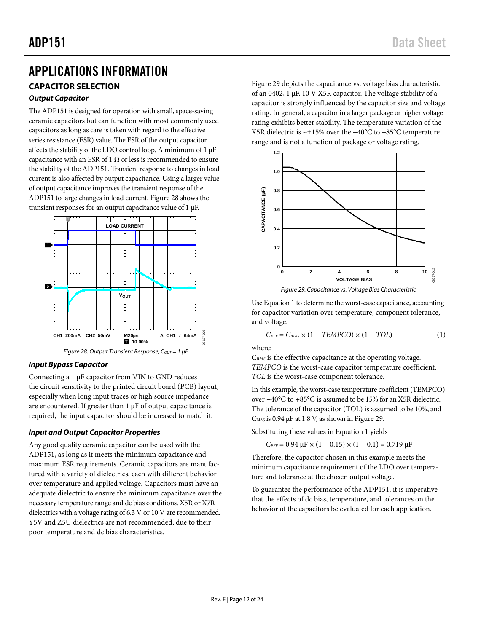## <span id="page-12-0"></span>APPLICATIONS INFORMATION

### <span id="page-12-1"></span>**CAPACITOR SELECTION**

#### *Output Capacitor*

The ADP151 is designed for operation with small, space-saving ceramic capacitors but can function with most commonly used capacitors as long as care is taken with regard to the effective series resistance (ESR) value. The ESR of the output capacitor affects the stability of the LDO control loop. A minimum of 1 µF capacitance with an ESR of 1  $\Omega$  or less is recommended to ensure the stability of the ADP151. Transient response to changes in load current is also affected by output capacitance. Using a larger value of output capacitance improves the transient response of the ADP151 to large changes in load current[. Figure 28](#page-12-2) shows the transient responses for an output capacitance value of 1 µF.



#### *Figure 28. Output Transient Response, C<sub>OUT</sub> = 1 µF*

#### <span id="page-12-2"></span>*Input Bypass Capacitor*

Connecting a 1 µF capacitor from VIN to GND reduces the circuit sensitivity to the printed circuit board (PCB) layout, especially when long input traces or high source impedance are encountered. If greater than 1 µF of output capacitance is required, the input capacitor should be increased to match it.

#### *Input and Output Capacitor Properties*

Any good quality ceramic capacitor can be used with the ADP151, as long as it meets the minimum capacitance and maximum ESR requirements. Ceramic capacitors are manufactured with a variety of dielectrics, each with different behavior over temperature and applied voltage. Capacitors must have an adequate dielectric to ensure the minimum capacitance over the necessary temperature range and dc bias conditions. X5R or X7R dielectrics with a voltage rating of 6.3 V or 10 V are recommended. Y5V and Z5U dielectrics are not recommended, due to their poor temperature and dc bias characteristics.

Figure 29 depicts the capacitance vs. voltage bias characteristic of an 0402, 1 µF, 10 V X5R capacitor. The voltage stability of a capacitor is strongly influenced by the capacitor size and voltage rating. In general, a capacitor in a larger package or higher voltage rating exhibits better stability. The temperature variation of the X5R dielectric is ~±15% over the −40°C to +85°C temperature range and is not a function of package or voltage rating.



*Figure 29. Capacitance vs. Voltage Bias Characteristic*

Use Equation 1 to determine the worst-case capacitance, accounting for capacitor variation over temperature, component tolerance, and voltage.

$$
C_{EFF} = C_{BIAS} \times (1 - TEMPCO) \times (1 - TOL)
$$
 (1)

where:

08627-026

C*BIAS* is the effective capacitance at the operating voltage. *TEMPCO* is the worst-case capacitor temperature coefficient. *TOL* is the worst-case component tolerance.

In this example, the worst-case temperature coefficient (TEMPCO) over −40°C to +85°C is assumed to be 15% for an X5R dielectric. The tolerance of the capacitor (TOL) is assumed to be 10%, and  $C<sub>BIAS</sub>$  is 0.94  $\mu$ F at 1.8 V, as shown in Figure 29.

Substituting these values in Equation 1 yields

$$
C_{\text{EFF}} = 0.94 \ \mu F \times (1 - 0.15) \times (1 - 0.1) = 0.719 \ \mu F
$$

Therefore, the capacitor chosen in this example meets the minimum capacitance requirement of the LDO over temperature and tolerance at the chosen output voltage.

To guarantee the performance of the ADP151, it is imperative that the effects of dc bias, temperature, and tolerances on the behavior of the capacitors be evaluated for each application.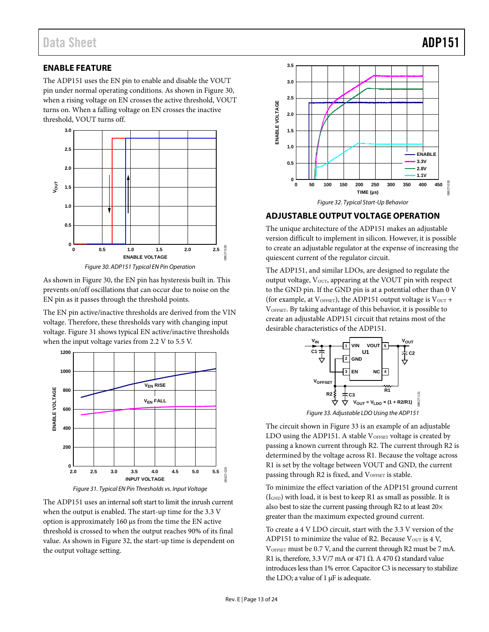#### <span id="page-13-0"></span>**ENABLE FEATURE**

The ADP151 uses the EN pin to enable and disable the VOUT pin under normal operating conditions. As shown in Figure 30, when a rising voltage on EN crosses the active threshold, VOUT turns on. When a falling voltage on EN crosses the inactive threshold, VOUT turns off.



*Figure 30. ADP151 Typical EN Pin Operation*

As shown in Figure 30, the EN pin has hysteresis built in. This prevents on/off oscillations that can occur due to noise on the EN pin as it passes through the threshold points.

The EN pin active/inactive thresholds are derived from the VIN voltage. Therefore, these thresholds vary with changing input voltage[. Figure 31](#page-13-2) shows typical EN active/inactive thresholds when the input voltage varies from 2.2 V to 5.5 V.





<span id="page-13-2"></span>The ADP151 uses an internal soft start to limit the inrush current when the output is enabled. The start-up time for the 3.3 V option is approximately 160 μs from the time the EN active threshold is crossed to when the output reaches 90% of its final value. As shown in Figure 32, the start-up time is dependent on the output voltage setting.



#### <span id="page-13-1"></span>**ADJUSTABLE OUTPUT VOLTAGE OPERATION**

The unique architecture of the ADP151 makes an adjustable version difficult to implement in silicon. However, it is possible to create an adjustable regulator at the expense of increasing the quiescent current of the regulator circuit.

The ADP151, and similar LDOs, are designed to regulate the output voltage,  $V<sub>OUT</sub>$ , appearing at the VOUT pin with respect to the GND pin. If the GND pin is at a potential other than 0 V (for example, at  $V_{\text{OFFSET}}$ ), the ADP151 output voltage is  $V_{\text{OUT}}$  + VOFFSET. By taking advantage of this behavior, it is possible to create an adjustable ADP151 circuit that retains most of the desirable characteristics of the ADP151.





<span id="page-13-3"></span>The circuit shown i[n Figure 33](#page-13-3) is an example of an adjustable LDO using the ADP151. A stable  $V_{OFFSET}$  voltage is created by passing a known current through R2. The current through R2 is determined by the voltage across R1. Because the voltage across R1 is set by the voltage between VOUT and GND, the current passing through R2 is fixed, and VOFFSET is stable.

To minimize the effect variation of the ADP151 ground current  $(I<sub>GND</sub>)$  with load, it is best to keep R1 as small as possible. It is also best to size the current passing through R2 to at least 20× greater than the maximum expected ground current.

To create a 4 V LDO circuit, start with the 3.3 V version of the ADP151 to minimize the value of R2. Because  $V_{\text{OUT}}$  is 4 V, VOFFSET must be 0.7 V, and the current through R2 must be 7 mA. R1 is, therefore, 3.3 V/7 mA or 471  $\Omega$ . A 470  $\Omega$  standard value introduces less than 1% error. Capacitor C3 is necessary to stabilize the LDO; a value of 1 μF is adequate.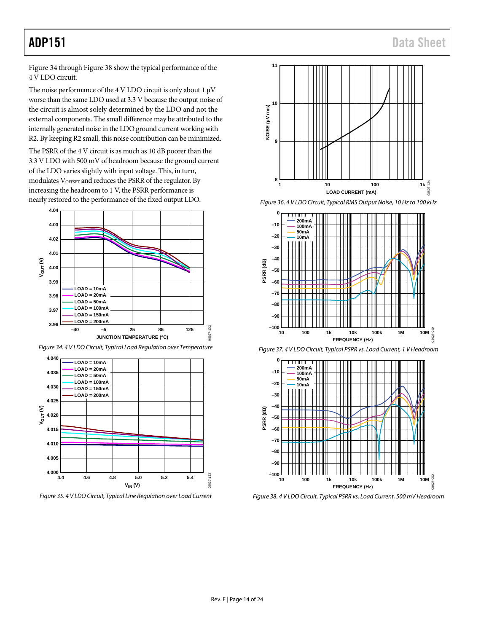[Figure 34](#page-14-0) throug[h Figure 38](#page-14-1) show the typical performance of the 4 V LDO circuit.

The noise performance of the 4 V LDO circuit is only about 1  $\mu$ V worse than the same LDO used at 3.3 V because the output noise of the circuit is almost solely determined by the LDO and not the external components. The small difference may be attributed to the internally generated noise in the LDO ground current working with R2. By keeping R2 small, this noise contribution can be minimized.

The PSRR of the 4 V circuit is as much as 10 dB poorer than the 3.3 V LDO with 500 mV of headroom because the ground current of the LDO varies slightly with input voltage. This, in turn, modulates VOFFSET and reduces the PSRR of the regulator. By increasing the headroom to 1 V, the PSRR performance is nearly restored to the performance of the fixed output LDO.



<span id="page-14-0"></span>*Figure 34. 4 V LDO Circuit, Typical Load Regulation over Temperature*



*Figure 35. 4 V LDO Circuit, Typical Line Regulation over Load Current*



*Figure 36. 4 V LDO Circuit, Typical RMS Output Noise, 10 Hz to 100 kHz*



*Figure 37. 4 V LDO Circuit, Typical PSRR vs. Load Current, 1 V Headroom*



<span id="page-14-1"></span>*Figure 38. 4 V LDO Circuit, Typical PSRR vs. Load Current, 500 mV Headroom*

08627-132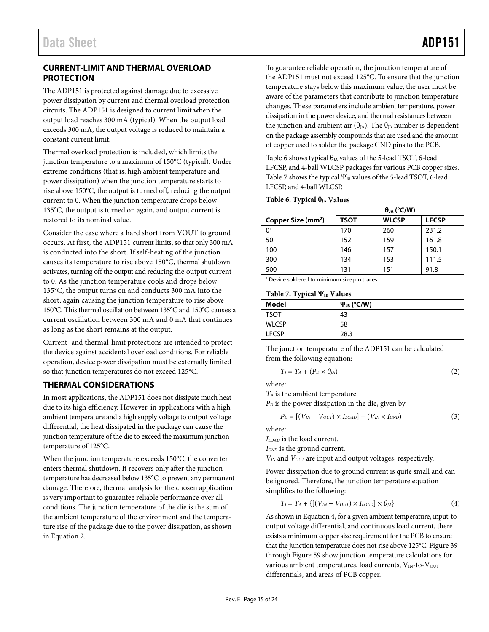#### <span id="page-15-0"></span>**CURRENT-LIMIT AND THERMAL OVERLOAD PROTECTION**

The ADP151 is protected against damage due to excessive power dissipation by current and thermal overload protection circuits. The ADP151 is designed to current limit when the output load reaches 300 mA (typical). When the output load exceeds 300 mA, the output voltage is reduced to maintain a constant current limit.

Thermal overload protection is included, which limits the junction temperature to a maximum of 150°C (typical). Under extreme conditions (that is, high ambient temperature and power dissipation) when the junction temperature starts to rise above 150°C, the output is turned off, reducing the output current to 0. When the junction temperature drops below 135°C, the output is turned on again, and output current is restored to its nominal value.

Consider the case where a hard short from VOUT to ground occurs. At first, the ADP151 current limits, so that only 300 mA is conducted into the short. If self-heating of the junction causes its temperature to rise above 150°C, thermal shutdown activates, turning off the output and reducing the output current to 0. As the junction temperature cools and drops below 135°C, the output turns on and conducts 300 mA into the short, again causing the junction temperature to rise above 150°C. This thermal oscillation between 135°C and 150°C causes a current oscillation between 300 mA and 0 mA that continues as long as the short remains at the output.

Current- and thermal-limit protections are intended to protect the device against accidental overload conditions. For reliable operation, device power dissipation must be externally limited so that junction temperatures do not exceed 125°C.

#### <span id="page-15-1"></span>**THERMAL CONSIDERATIONS**

In most applications, the ADP151 does not dissipate much heat due to its high efficiency. However, in applications with a high ambient temperature and a high supply voltage to output voltage differential, the heat dissipated in the package can cause the junction temperature of the die to exceed the maximum junction temperature of 125°C.

When the junction temperature exceeds 150°C, the converter enters thermal shutdown. It recovers only after the junction temperature has decreased below 135°C to prevent any permanent damage. Therefore, thermal analysis for the chosen application is very important to guarantee reliable performance over all conditions. The junction temperature of the die is the sum of the ambient temperature of the environment and the temperature rise of the package due to the power dissipation, as shown in Equation 2.

To guarantee reliable operation, the junction temperature of the ADP151 must not exceed 125°C. To ensure that the junction temperature stays below this maximum value, the user must be aware of the parameters that contribute to junction temperature changes. These parameters include ambient temperature, power dissipation in the power device, and thermal resistances between the junction and ambient air ( $\theta_{JA}$ ). The  $\theta_{JA}$  number is dependent on the package assembly compounds that are used and the amount of copper used to solder the package GND pins to the PCB.

[Table 6](#page-15-2) shows typical  $\theta$ <sub>IA</sub> values of the 5-lead TSOT, 6-lead LFCSP, and 4-ball WLCSP packages for various PCB copper sizes. [Table 7](#page-15-3) shows the typical  $\Psi_{IB}$  values of the 5-lead TSOT, 6-lead LFCSP, and 4-ball WLCSP.

#### <span id="page-15-2"></span>**Table 6. Typical θJA Values**

|                                | $\theta_{JA}$ (°C/W) |              |              |  |
|--------------------------------|----------------------|--------------|--------------|--|
| Copper Size (mm <sup>2</sup> ) | TSOT                 | <b>WLCSP</b> | <b>LFCSP</b> |  |
| 0 <sup>1</sup>                 | 170                  | 260          | 231.2        |  |
| 50                             | 152                  | 159          | 161.8        |  |
| 100                            | 146                  | 157          | 150.1        |  |
| 300                            | 134                  | 153          | 111.5        |  |
| 500                            | 131                  | 151          | 91.8         |  |

<sup>1</sup> Device soldered to minimum size pin traces.

#### <span id="page-15-3"></span>**Table 7. Typical ΨJB Values**

| . .          |                    |
|--------------|--------------------|
| Model        | $\Psi_{JB}$ (°C/W) |
| TSOT         | 43                 |
| <b>WLCSP</b> | 58                 |
| <b>FCSP</b>  | 28.3               |

The junction temperature of the ADP151 can be calculated from the following equation:

$$
T_J = T_A + (P_D \times \theta_{JA})
$$
 (2)

where:

*TA* is the ambient temperature.

 $P<sub>D</sub>$  is the power dissipation in the die, given by

$$
P_D = [(V_{IN} - V_{OUT}) \times I_{LOAD}] + (V_{IN} \times I_{GND}) \tag{3}
$$

where:

*ILOAD* is the load current.

*IGND* is the ground current.

*VIN* and *VOUT* are input and output voltages, respectively.

Power dissipation due to ground current is quite small and can be ignored. Therefore, the junction temperature equation simplifies to the following:

$$
T_J = T_A + \{ [(V_{IN} - V_{OUT}) \times I_{LOAD}] \times \theta_{JA} \}
$$
 (4)

As shown in Equation 4, for a given ambient temperature, input-tooutput voltage differential, and continuous load current, there exists a minimum copper size requirement for the PCB to ensure that the junction temperature does not rise above 125°C[. Figure 39](#page-16-0) through [Figure 59](#page-19-0) show junction temperature calculations for various ambient temperatures, load currents, VIN-to-VOUT differentials, and areas of PCB copper.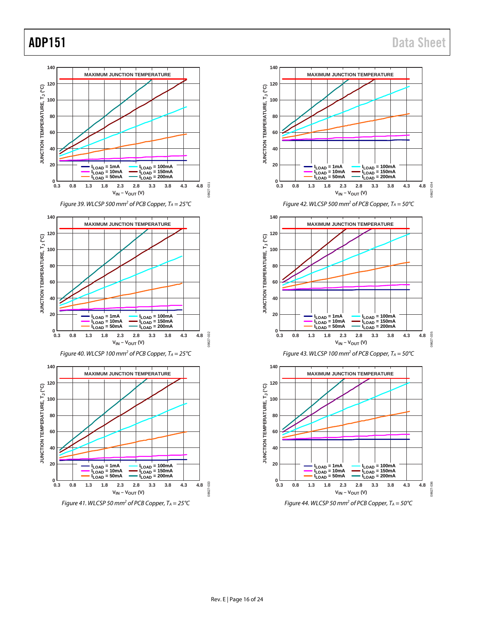<span id="page-16-0"></span>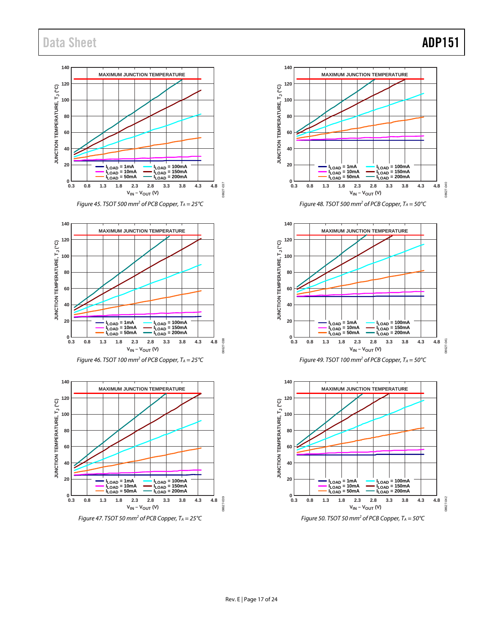## Data Sheet **ADP151**



*Figure 45. TSOT 500 mm2 of PCB Copper, TA = 25°C*



*Figure 46. TSOT 100 mm<sup>2</sup> of PCB Copper,*  $T_A = 25^{\circ}C$ 









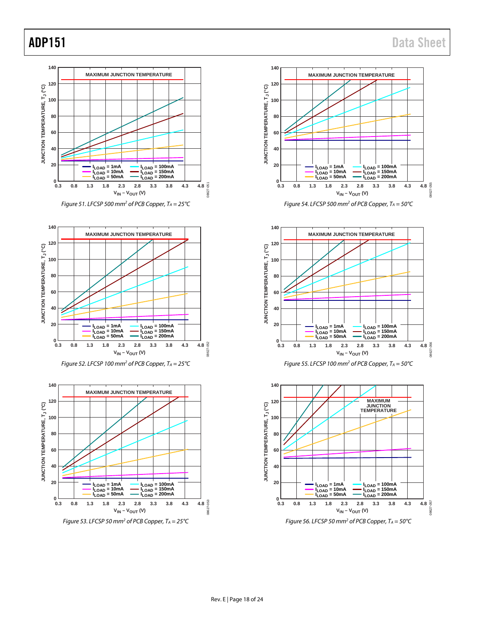08627-055

862

08627-056

16381

08627-057

13981

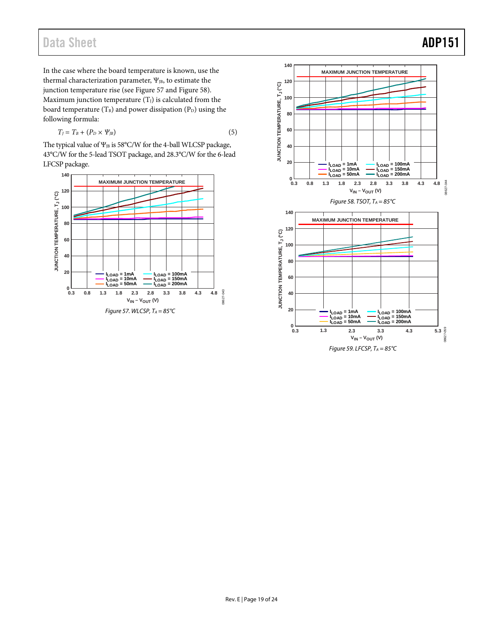## <span id="page-19-0"></span>Data Sheet **ADP151**

In the case where the board temperature is known, use the thermal characterization parameter,  $\Psi_{JB}$ , to estimate the junction temperature rise (see Figure 57 and Figure 58). Maximum junction temperature  $(T_J)$  is calculated from the board temperature  $(T_B)$  and power dissipation  $(P_D)$  using the following formula:

$$
T_J = T_B + (P_D \times \Psi_{JB}) \tag{5}
$$

The typical value of  $\Psi_{JB}$  is 58°C/W for the 4-ball WLCSP package, 43°C/W for the 5-lead TSOT package, and 28.3°C/W for the 6-lead LFCSP package.



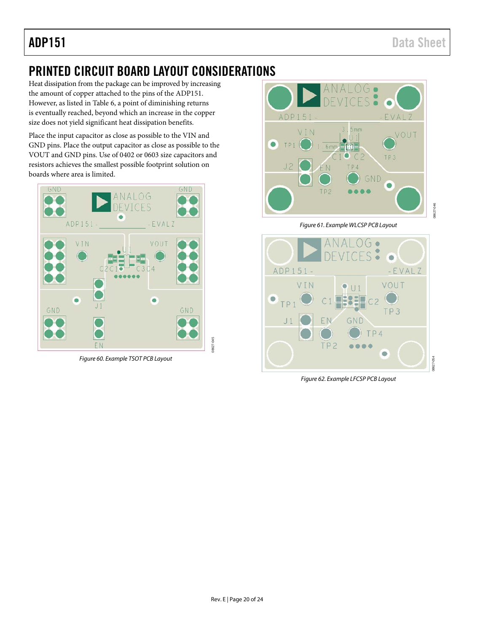## <span id="page-20-0"></span>PRINTED CIRCUIT BOARD LAYOUT CONSIDERATIONS

Heat dissipation from the package can be improved by increasing the amount of copper attached to the pins of the ADP151. However, as listed in [Table 6,](#page-15-2) a point of diminishing returns is eventually reached, beyond which an increase in the copper size does not yield significant heat dissipation benefits.

Place the input capacitor as close as possible to the VIN and GND pins. Place the output capacitor as close as possible to the VOUT and GND pins. Use of 0402 or 0603 size capacitors and resistors achieves the smallest possible footprint solution on boards where area is limited.



*Figure 60. Example TSOT PCB Layout*



*Figure 61. Example WLCSP PCB Layout*



*Figure 62. Example LFCSP PCB Layout*

08627-045

8627-04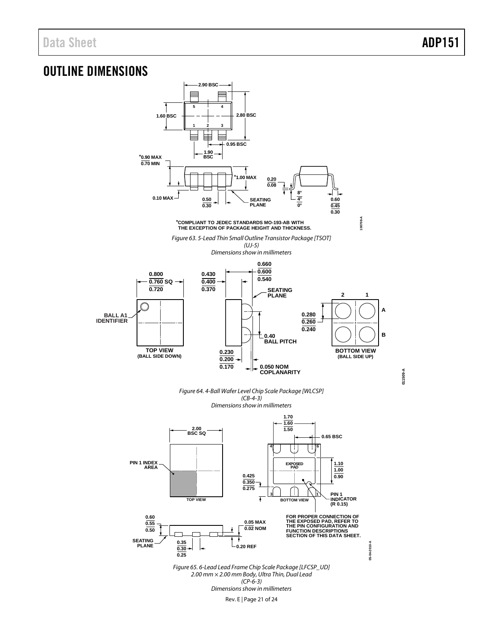## <span id="page-21-0"></span>OUTLINE DIMENSIONS



Rev. E | Page 21 of 24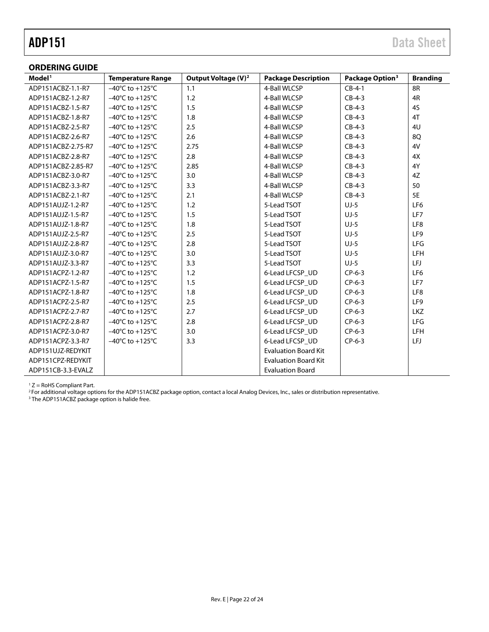<span id="page-22-0"></span>

| <b>ORDERING GUIDE</b> |                                     |                                 |                             |                             |                 |
|-----------------------|-------------------------------------|---------------------------------|-----------------------------|-----------------------------|-----------------|
| Model <sup>1</sup>    | <b>Temperature Range</b>            | Output Voltage (V) <sup>2</sup> | <b>Package Description</b>  | Package Option <sup>3</sup> | <b>Branding</b> |
| ADP151ACBZ-1.1-R7     | $-40^{\circ}$ C to $+125^{\circ}$ C | 1.1                             | 4-Ball WLCSP                | $CB-4-1$                    | 8R              |
| ADP151ACBZ-1.2-R7     | $-40^{\circ}$ C to $+125^{\circ}$ C | 1.2                             | 4-Ball WLCSP                | $CB-4-3$                    | 4R              |
| ADP151ACBZ-1.5-R7     | $-40^{\circ}$ C to $+125^{\circ}$ C | 1.5                             | 4-Ball WLCSP                | $CB-4-3$                    | 45              |
| ADP151ACBZ-1.8-R7     | $-40^{\circ}$ C to $+125^{\circ}$ C | 1.8                             | 4-Ball WLCSP                | $CB-4-3$                    | 4T              |
| ADP151ACBZ-2.5-R7     | $-40^{\circ}$ C to $+125^{\circ}$ C | 2.5                             | 4-Ball WLCSP                | $CB-4-3$                    | 4U              |
| ADP151ACBZ-2.6-R7     | $-40^{\circ}$ C to $+125^{\circ}$ C | 2.6                             | 4-Ball WLCSP                | $CB-4-3$                    | 8Q              |
| ADP151ACBZ-2.75-R7    | $-40^{\circ}$ C to $+125^{\circ}$ C | 2.75                            | 4-Ball WLCSP                | $CB-4-3$                    | 4V              |
| ADP151ACBZ-2.8-R7     | $-40^{\circ}$ C to $+125^{\circ}$ C | 2.8                             | 4-Ball WLCSP                | $CB-4-3$                    | 4X              |
| ADP151ACBZ-2.85-R7    | $-40^{\circ}$ C to $+125^{\circ}$ C | 2.85                            | 4-Ball WLCSP                | $CB-4-3$                    | 4Y              |
| ADP151ACBZ-3.0-R7     | $-40^{\circ}$ C to $+125^{\circ}$ C | 3.0                             | 4-Ball WLCSP                | $CB-4-3$                    | 4Z              |
| ADP151ACBZ-3.3-R7     | $-40^{\circ}$ C to $+125^{\circ}$ C | 3.3                             | 4-Ball WLCSP                | $CB-4-3$                    | 50              |
| ADP151ACBZ-2.1-R7     | $-40^{\circ}$ C to $+125^{\circ}$ C | 2.1                             | 4-Ball WLCSP                | $CB-4-3$                    | 5E              |
| ADP151AUJZ-1.2-R7     | $-40^{\circ}$ C to $+125^{\circ}$ C | 1.2                             | 5-Lead TSOT                 | $UJ-5$                      | LF <sub>6</sub> |
| ADP151AUJZ-1.5-R7     | $-40^{\circ}$ C to $+125^{\circ}$ C | 1.5                             | 5-Lead TSOT                 | $UJ-5$                      | LF7             |
| ADP151AUJZ-1.8-R7     | $-40^{\circ}$ C to $+125^{\circ}$ C | 1.8                             | 5-Lead TSOT                 | $UJ-5$                      | LF8             |
| ADP151AUJZ-2.5-R7     | $-40^{\circ}$ C to $+125^{\circ}$ C | 2.5                             | 5-Lead TSOT                 | $UJ-5$                      | LF9             |
| ADP151AUJZ-2.8-R7     | $-40^{\circ}$ C to $+125^{\circ}$ C | 2.8                             | 5-Lead TSOT                 | $UJ-5$                      | <b>LFG</b>      |
| ADP151AUJZ-3.0-R7     | $-40^{\circ}$ C to $+125^{\circ}$ C | 3.0                             | 5-Lead TSOT                 | $UJ-5$                      | LFH             |
| ADP151AUJZ-3.3-R7     | $-40^{\circ}$ C to $+125^{\circ}$ C | 3.3                             | 5-Lead TSOT                 | $UJ-5$                      | LFJ             |
| ADP151ACPZ-1.2-R7     | $-40^{\circ}$ C to $+125^{\circ}$ C | 1.2                             | 6-Lead LFCSP_UD             | $CP-6-3$                    | LF6             |
| ADP151ACPZ-1.5-R7     | $-40^{\circ}$ C to $+125^{\circ}$ C | 1.5                             | 6-Lead LFCSP_UD             | $CP-6-3$                    | LF7             |
| ADP151ACPZ-1.8-R7     | $-40^{\circ}$ C to $+125^{\circ}$ C | 1.8                             | 6-Lead LFCSP_UD             | $CP-6-3$                    | LF8             |
| ADP151ACPZ-2.5-R7     | $-40^{\circ}$ C to $+125^{\circ}$ C | 2.5                             | 6-Lead LFCSP_UD             | $CP-6-3$                    | LF9             |
| ADP151ACPZ-2.7-R7     | $-40^{\circ}$ C to $+125^{\circ}$ C | 2.7                             | 6-Lead LFCSP_UD             | $CP-6-3$                    | LKZ             |
| ADP151ACPZ-2.8-R7     | $-40^{\circ}$ C to $+125^{\circ}$ C | 2.8                             | 6-Lead LFCSP_UD             | $CP-6-3$                    | <b>LFG</b>      |
| ADP151ACPZ-3.0-R7     | $-40^{\circ}$ C to $+125^{\circ}$ C | 3.0                             | 6-Lead LFCSP_UD             | $CP-6-3$                    | <b>LFH</b>      |
| ADP151ACPZ-3.3-R7     | $-40^{\circ}$ C to $+125^{\circ}$ C | 3.3                             | 6-Lead LFCSP_UD             | $CP-6-3$                    | LFJ             |
| ADP151UJZ-REDYKIT     |                                     |                                 | <b>Evaluation Board Kit</b> |                             |                 |
| ADP151CPZ-REDYKIT     |                                     |                                 | <b>Evaluation Board Kit</b> |                             |                 |
| ADP151CB-3.3-EVALZ    |                                     |                                 | <b>Evaluation Board</b>     |                             |                 |

 $1 Z =$  RoHS Compliant Part.

<sup>2</sup> For additional voltage options for the ADP151ACBZ package option, contact a local Analog Devices, Inc.[, sales or distribution representative.](http://www.analog.com/salesdir/continent.asp)

<sup>3</sup> The ADP151ACBZ package option is halide free.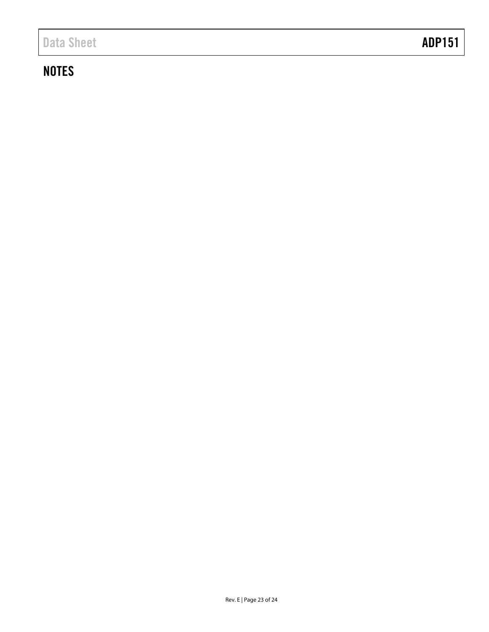## **NOTES**